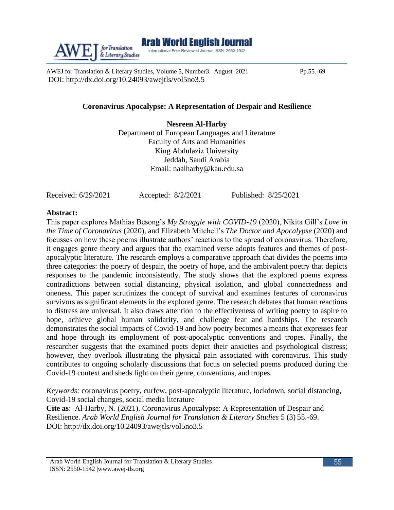AWEJ for Translation & Literary Studies, Volume 5, Number 3. August 2021 Pp.55.-69 DOI: [http://dx.doi.org/10.24093/awejtls/vol5no3.](http://dx.doi.org/10.24093/awejtls/vol5no3)5

# **Coronavirus Apocalypse: A Representation of Despair and Resilience**

**Nesreen Al-Harby** Department of European Languages and Literature Faculty of Arts and Humanities King Abdulaziz University Jeddah, Saudi Arabia Email: [naalharby@kau.edu.sa](mailto:naalharby@kau.edu.sa)

Received: 6/29/2021 Accepted: 8/2/2021 Published: 8/25/2021

# **Abstract:**

This paper explores Mathias Besong's *My Struggle with COVID-19* (2020), Nikita Gill's *Love in the Time of Coronavirus* (2020), and Elizabeth Mitchell's *The Doctor and Apocalypse* (2020) and focusses on how these poems illustrate authors' reactions to the spread of coronavirus. Therefore, it engages genre theory and argues that the examined verse adopts features and themes of postapocalyptic literature. The research employs a comparative approach that divides the poems into three categories: the poetry of despair, the poetry of hope, and the ambivalent poetry that depicts responses to the pandemic inconsistently. The study shows that the explored poems express contradictions between social distancing, physical isolation, and global connectedness and oneness. This paper scrutinizes the concept of survival and examines features of coronavirus survivors as significant elements in the explored genre. The research debates that human reactions to distress are universal. It also draws attention to the effectiveness of writing poetry to aspire to hope, achieve global human solidarity, and challenge fear and hardships. The research demonstrates the social impacts of Covid-19 and how poetry becomes a means that expresses fear and hope through its employment of post-apocalyptic conventions and tropes. Finally, the researcher suggests that the examined poets depict their anxieties and psychological distress; however, they overlook illustrating the physical pain associated with coronavirus. This study contributes to ongoing scholarly discussions that focus on selected poems produced during the Covid-19 context and sheds light on their genre, conventions, and tropes.

*Keywords:* coronavirus poetry, curfew, post-apocalyptic literature, lockdown, social distancing, Covid-19 social changes, social media literature

**Cite as**: Al-Harby, N. (2021). Coronavirus Apocalypse: A Representation of Despair and Resilience. *Arab World English Journal for Translation & Literary Studies* 5 (3) 55.-69. DOI: http://dx.doi.org/10.24093/awejtls/vol5no3.5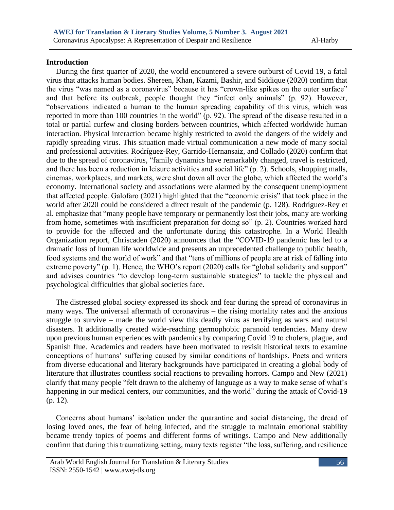# **Introduction**

 During the first quarter of 2020, the world encountered a severe outburst of Covid 19, a fatal virus that attacks human bodies. Shereen, Khan, Kazmi, Bashir, and Siddique (2020) confirm that the virus "was named as a coronavirus" because it has "crown-like spikes on the outer surface" and that before its outbreak, people thought they "infect only animals" (p. 92). However, "observations indicated a human to the human spreading capability of this virus, which was reported in more than 100 countries in the world" (p. 92). The spread of the disease resulted in a total or partial curfew and closing borders between countries, which affected worldwide human interaction. Physical interaction became highly restricted to avoid the dangers of the widely and rapidly spreading virus. This situation made virtual communication a new mode of many social and professional activities. Rodríguez-Rey, Garrido-Hernansaiz, and Collado (2020) confirm that due to the spread of coronavirus, "family dynamics have remarkably changed, travel is restricted, and there has been a reduction in leisure activities and social life" (p. 2). Schools, shopping malls, cinemas, workplaces, and markets, were shut down all over the globe, which affected the world's economy. International society and associations were alarmed by the consequent unemployment that affected people. Galofaro (2021) highlighted that the "economic crisis" that took place in the world after 2020 could be considered a direct result of the pandemic (p. 128). Rodríguez-Rey et al. emphasize that "many people have temporary or permanently lost their jobs, many are working from home, sometimes with insufficient preparation for doing so" (p. 2). Countries worked hard to provide for the affected and the unfortunate during this catastrophe. In a World Health Organization report, Chriscaden (2020) announces that the "COVID-19 pandemic has led to a dramatic loss of human life worldwide and presents an unprecedented challenge to public health, food systems and the world of work" and that "tens of millions of people are at risk of falling into extreme poverty" (p. 1). Hence, the WHO's report (2020) calls for "global solidarity and support" and advises countries "to develop long-term sustainable strategies" to tackle the physical and psychological difficulties that global societies face.

 The distressed global society expressed its shock and fear during the spread of coronavirus in many ways. The universal aftermath of coronavirus – the rising mortality rates and the anxious struggle to survive – made the world view this deadly virus as terrifying as wars and natural disasters. It additionally created wide-reaching germophobic paranoid tendencies. Many drew upon previous human experiences with pandemics by comparing Covid 19 to cholera, plague, and Spanish flue. Academics and readers have been motivated to revisit historical texts to examine conceptions of humans' suffering caused by similar conditions of hardships. Poets and writers from diverse educational and literary backgrounds have participated in creating a global body of literature that illustrates countless social reactions to prevailing horrors. Campo and New (2021) clarify that many people "felt drawn to the alchemy of language as a way to make sense of what's happening in our medical centers, our communities, and the world" during the attack of Covid-19 (p. 12).

 Concerns about humans' isolation under the quarantine and social distancing, the dread of losing loved ones, the fear of being infected, and the struggle to maintain emotional stability became trendy topics of poems and different forms of writings. Campo and New additionally confirm that during this traumatizing setting, many texts register "the loss, suffering, and resilience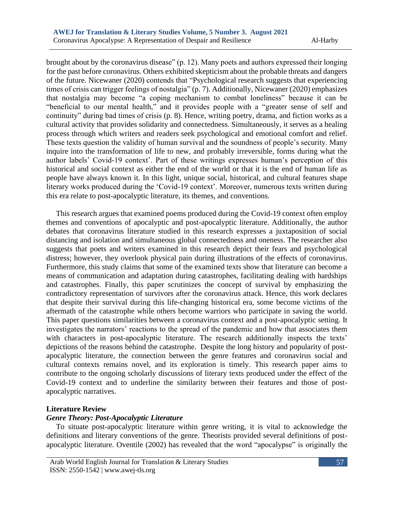brought about by the coronavirus disease" (p. 12). Many poets and authors expressed their longing for the past before coronavirus. Others exhibited skepticism about the probable threats and dangers of the future. Nicewaner (2020) contends that "Psychological research suggests that experiencing times of crisis can trigger feelings of nostalgia" (p. 7). Additionally, Nicewaner (2020) emphasizes that nostalgia may become "a coping mechanism to combat loneliness" because it can be "beneficial to our mental health," and it provides people with a "greater sense of self and continuity" during bad times of crisis (p. 8). Hence, writing poetry, drama, and fiction works as a cultural activity that provides solidarity and connectedness. Simultaneously, it serves as a healing process through which writers and readers seek psychological and emotional comfort and relief. These texts question the validity of human survival and the soundness of people's security. Many inquire into the transformation of life to new, and probably irreversible, forms during what the author labels' Covid-19 context'. Part of these writings expresses human's perception of this historical and social context as either the end of the world or that it is the end of human life as people have always known it. In this light, unique social, historical, and cultural features shape literary works produced during the 'Covid-19 context'. Moreover, numerous texts written during this era relate to post-apocalyptic literature, its themes, and conventions.

 This research argues that examined poems produced during the Covid-19 context often employ themes and conventions of apocalyptic and post-apocalyptic literature. Additionally, the author debates that coronavirus literature studied in this research expresses a juxtaposition of social distancing and isolation and simultaneous global connectedness and oneness. The researcher also suggests that poets and writers examined in this research depict their fears and psychological distress; however, they overlook physical pain during illustrations of the effects of coronavirus. Furthermore, this study claims that some of the examined texts show that literature can become a means of communication and adaptation during catastrophes, facilitating dealing with hardships and catastrophes. Finally, this paper scrutinizes the concept of survival by emphasizing the contradictory representation of survivors after the coronavirus attack. Hence, this work declares that despite their survival during this life-changing historical era, some become victims of the aftermath of the catastrophe while others become warriors who participate in saving the world. This paper questions similarities between a coronavirus context and a post-apocalyptic setting. It investigates the narrators' reactions to the spread of the pandemic and how that associates them with characters in post-apocalyptic literature. The research additionally inspects the texts' depictions of the reasons behind the catastrophe. Despite the long history and popularity of postapocalyptic literature, the connection between the genre features and coronavirus social and cultural contexts remains novel, and its exploration is timely. This research paper aims to contribute to the ongoing scholarly discussions of literary texts produced under the effect of the Covid-19 context and to underline the similarity between their features and those of postapocalyptic narratives.

## **Literature Review**

# *Genre Theory: Post-Apocalyptic Literature*

 To situate post-apocalyptic literature within genre writing, it is vital to acknowledge the definitions and literary conventions of the genre. Theorists provided several definitions of postapocalyptic literature. Oventile (2002) has revealed that the word "apocalypse" is originally the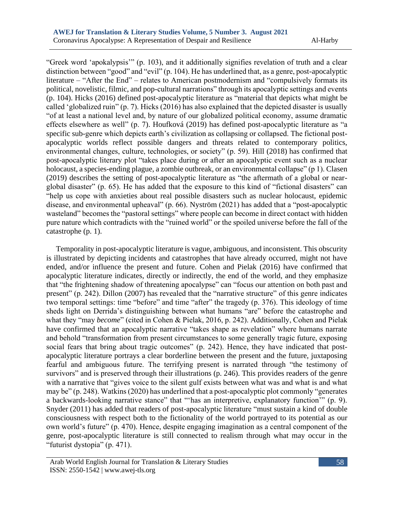"Greek word 'apokalypsis'" (p. 103), and it additionally signifies revelation of truth and a clear distinction between "good" and "evil" (p. 104). He has underlined that, as a genre, post-apocalyptic literature – "After the End" – relates to American postmodernism and "compulsively formats its political, novelistic, filmic, and pop-cultural narrations" through its apocalyptic settings and events (p. 104). Hicks (2016) defined post-apocalyptic literature as "material that depicts what might be called 'globalized ruin" (p. 7). Hicks (2016) has also explained that the depicted disaster is usually "of at least a national level and, by nature of our globalized political economy, assume dramatic effects elsewhere as well" (p. 7). Houfková (2019) has defined post-apocalyptic literature as "a specific sub-genre which depicts earth's civilization as collapsing or collapsed. The fictional postapocalyptic worlds reflect possible dangers and threats related to contemporary politics, environmental changes, culture, technologies, or society" (p. 59). Hill (2018) has confirmed that post-apocalyptic literary plot "takes place during or after an apocalyptic event such as a nuclear holocaust, a species-ending plague, a zombie outbreak, or an environmental collapse" (p 1). Clasen (2019) describes the setting of post-apocalyptic literature as "the aftermath of a global or nearglobal disaster" (p. 65). He has added that the exposure to this kind of "fictional disasters" can "help us cope with anxieties about real possible disasters such as nuclear holocaust, epidemic disease, and environmental upheaval" (p. 66). Nyström (2021) has added that a "post-apocalyptic wasteland" becomes the "pastoral settings" where people can become in direct contact with hidden pure nature which contradicts with the "ruined world" or the spoiled universe before the fall of the catastrophe (p. 1).

 Temporality in post-apocalyptic literature is vague, ambiguous, and inconsistent. This obscurity is illustrated by depicting incidents and catastrophes that have already occurred, might not have ended, and/or influence the present and future. Cohen and Pielak (2016) have confirmed that apocalyptic literature indicates, directly or indirectly, the end of the world, and they emphasize that "the frightening shadow of threatening apocalypse" can "focus our attention on both past and present" (p. 242). Dillon (2007) has revealed that the "narrative structure" of this genre indicates two temporal settings: time "before" and time "after" the tragedy (p. 376). This ideology of time sheds light on Derrida's distinguishing between what humans "are" before the catastrophe and what they "may *become*" (cited in Cohen & Pielak, 2016, p. 242). Additionally, Cohen and Pielak have confirmed that an apocalyptic narrative "takes shape as revelation" where humans narrate and behold "transformation from present circumstances to some generally tragic future, exposing social fears that bring about tragic outcomes" (p. 242). Hence, they have indicated that postapocalyptic literature portrays a clear borderline between the present and the future, juxtaposing fearful and ambiguous future. The terrifying present is narrated through "the testimony of survivors" and is preserved through their illustrations (p. 246). This provides readers of the genre with a narrative that "gives voice to the silent gulf exists between what was and what is and what may be" (p. 248). Watkins (2020) has underlined that a post-apocalyptic plot commonly "generates a backwards-looking narrative stance" that "'has an interpretive, explanatory function'" (p. 9). Snyder (2011) has added that readers of post-apocalyptic literature "must sustain a kind of double consciousness with respect both to the fictionality of the world portrayed to its potential as our own world's future" (p. 470). Hence, despite engaging imagination as a central component of the genre, post-apocalyptic literature is still connected to realism through what may occur in the "futurist dystopia" (p. 471).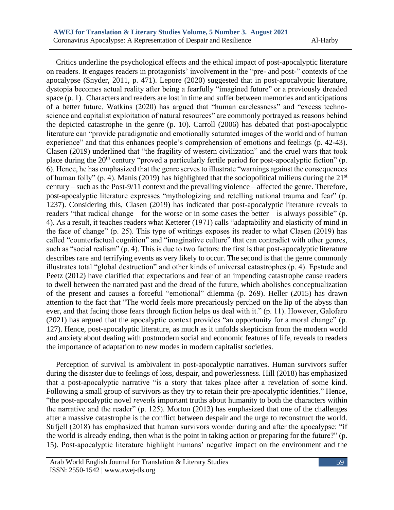Critics underline the psychological effects and the ethical impact of post-apocalyptic literature on readers. It engages readers in protagonists' involvement in the "pre- and post-" contexts of the apocalypse (Snyder, 2011, p. 471). Lepore (2020) suggested that in post-apocalyptic literature, dystopia becomes actual reality after being a fearfully "imagined future" or a previously dreaded space (p. 1). Characters and readers are lost in time and suffer between memories and anticipations of a better future. Watkins (2020) has argued that "human carelessness" and "excess technoscience and capitalist exploitation of natural resources" are commonly portrayed as reasons behind the depicted catastrophe in the genre (p. 10). Carroll (2006) has debated that post-apocalyptic literature can "provide paradigmatic and emotionally saturated images of the world and of human experience" and that this enhances people's comprehension of emotions and feelings (p. 42-43). Clasen (2019) underlined that "the fragility of western civilization" and the cruel wars that took place during the 20<sup>th</sup> century "proved a particularly fertile period for post-apocalyptic fiction" (p. 6). Hence, he has emphasized that the genre serves to illustrate "warnings against the consequences of human folly" (p. 4). Manis (2019) has highlighted that the sociopolitical milieus during the  $21<sup>st</sup>$ century – such as the Post-9/11 context and the prevailing violence – affected the genre. Therefore, post-apocalyptic literature expresses "mythologizing and retelling national trauma and fear" (p. 1237). Considering this, Clasen (2019) has indicated that post-apocalyptic literature reveals to readers "that radical change—for the worse or in some cases the better—is always possible" (p. 4). As a result, it teaches readers what Ketterer (1971) calls "adaptability and elasticity of mind in the face of change" (p. 25). This type of writings exposes its reader to what Clasen (2019) has called "counterfactual cognition" and "imaginative culture" that can contradict with other genres, such as "social realism" (p. 4). This is due to two factors: the first is that post-apocalyptic literature describes rare and terrifying events as very likely to occur. The second is that the genre commonly illustrates total "global destruction" and other kinds of universal catastrophes (p. 4). Epstude and Peetz (2012) have clarified that expectations and fear of an impending catastrophe cause readers to dwell between the narrated past and the dread of the future, which abolishes conceptualization of the present and causes a forceful "emotional" dilemma (p. 269). Heller (2015) has drawn attention to the fact that "The world feels more precariously perched on the lip of the abyss than ever, and that facing those fears through fiction helps us deal with it." (p. 11). However, Galofaro (2021) has argued that the apocalyptic context provides "an opportunity for a moral change" (p. 127). Hence, post-apocalyptic literature, as much as it unfolds skepticism from the modern world and anxiety about dealing with postmodern social and economic features of life, reveals to readers the importance of adaptation to new modes in modern capitalist societies.

 Perception of survival is ambivalent in post-apocalyptic narratives. Human survivors suffer during the disaster due to feelings of loss, despair, and powerlessness. Hill (2018) has emphasized that a post-apocalyptic narrative "is a story that takes place after a revelation of some kind. Following a small group of survivors as they try to retain their pre-apocalyptic identities." Hence, "the post-apocalyptic novel *reveals* important truths about humanity to both the characters within the narrative and the reader" (p. 125). Morton (2013) has emphasized that one of the challenges after a massive catastrophe is the conflict between despair and the urge to reconstruct the world. Stifjell (2018) has emphasized that human survivors wonder during and after the apocalypse: "if the world is already ending, then what is the point in taking action or preparing for the future?" (p. 15). Post-apocalyptic literature highlight humans' negative impact on the environment and the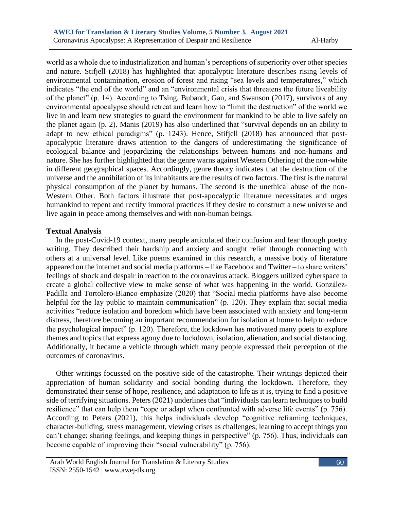world as a whole due to industrialization and human's perceptions of superiority over other species and nature. Stifjell (2018) has highlighted that apocalyptic literature describes rising levels of environmental contamination, erosion of forest and rising "sea levels and temperatures," which indicates "the end of the world" and an "environmental crisis that threatens the future liveability of the planet" (p. 14). According to Tsing, Bubandt, Gan, and Swanson (2017), survivors of any environmental apocalypse should retreat and learn how to "limit the destruction" of the world we live in and learn new strategies to guard the environment for mankind to be able to live safely on the planet again (p. 2). Manis (2019) has also underlined that "survival depends on an ability to adapt to new ethical paradigms" (p. 1243). Hence, Stifjell (2018) has announced that postapocalyptic literature draws attention to the dangers of underestimating the significance of ecological balance and jeopardizing the relationships between humans and non-humans and nature. She has further highlighted that the genre warns against Western Othering of the non-white in different geographical spaces. Accordingly, genre theory indicates that the destruction of the universe and the annihilation of its inhabitants are the results of two factors. The first is the natural physical consumption of the planet by humans. The second is the unethical abuse of the non-Western Other. Both factors illustrate that post-apocalyptic literature necessitates and urges humankind to repent and rectify immoral practices if they desire to construct a new universe and live again in peace among themselves and with non-human beings.

## **Textual Analysis**

 In the post-Covid-19 context, many people articulated their confusion and fear through poetry writing. They described their hardship and anxiety and sought relief through connecting with others at a universal level. Like poems examined in this research, a massive body of literature appeared on the internet and social media platforms – like Facebook and Twitter – to share writers' feelings of shock and despair in reaction to the coronavirus attack. Bloggers utilized cyberspace to create a global collective view to make sense of what was happening in the world. González-Padilla and Tortolero-Blanco emphasize (2020) that "Social media platforms have also become helpful for the lay public to maintain communication" (p. 120). They explain that social media activities "reduce isolation and boredom which have been associated with anxiety and long-term distress, therefore becoming an important recommendation for isolation at home to help to reduce the psychological impact" (p. 120). Therefore, the lockdown has motivated many poets to explore themes and topics that express agony due to lockdown, isolation, alienation, and social distancing. Additionally, it became a vehicle through which many people expressed their perception of the outcomes of coronavirus.

 Other writings focussed on the positive side of the catastrophe. Their writings depicted their appreciation of human solidarity and social bonding during the lockdown. Therefore, they demonstrated their sense of hope, resilience, and adaptation to life as it is, trying to find a positive side of terrifying situations. Peters (2021) underlines that "individuals can learn techniques to build resilience" that can help them "cope or adapt when confronted with adverse life events" (p. 756). According to Peters (2021), this helps individuals develop "cognitive reframing techniques, character-building, stress management, viewing crises as challenges; learning to accept things you can't change; sharing feelings, and keeping things in perspective" (p. 756). Thus, individuals can become capable of improving their "social vulnerability" (p. 756).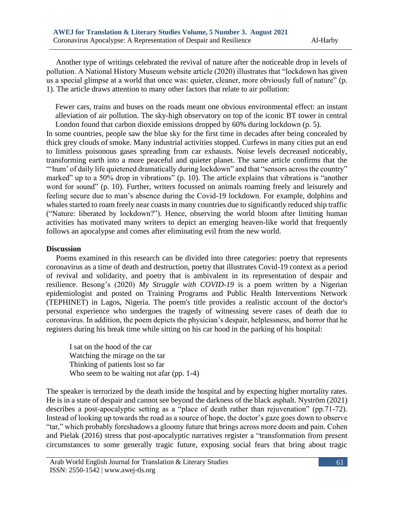Another type of writings celebrated the revival of nature after the noticeable drop in levels of pollution. A National History Museum website article (2020) illustrates that "lockdown has given us a special glimpse at a world that once was: quieter, cleaner, more obviously full of nature" (p. 1). The article draws attention to many other factors that relate to air pollution:

Fewer cars, trains and buses on the roads meant one obvious environmental effect: an instant alleviation of air pollution. The sky-high observatory on top of the iconic BT tower in central London found that carbon dioxide emissions dropped by 60% during lockdown (p. 5).

In some countries, people saw the blue sky for the first time in decades after being concealed by thick grey clouds of smoke. Many industrial activities stopped. Curfews in many cities put an end to limitless poisonous gases spreading from car exhausts. Noise levels decreased noticeably, transforming earth into a more peaceful and quieter planet. The same article confirms that the "'hum' of daily life quietened dramatically during lockdown" and that "sensors across the country" marked" up to a 50% drop in vibrations" (p. 10). The article explains that vibrations is "another word for sound" (p. 10). Further, writers focussed on animals roaming freely and leisurely and feeling secure due to man's absence during the Covid-19 lockdown. For example, dolphins and whales started to roam freely near coasts in many countries due to significantly reduced ship traffic ("Nature: liberated by lockdown?"). Hence, observing the world bloom after limiting human activities has motivated many writers to depict an emerging heaven-like world that frequently follows an apocalypse and comes after eliminating evil from the new world.

#### **Discussion**

 Poems examined in this research can be divided into three categories: poetry that represents coronavirus as a time of death and destruction, poetry that illustrates Covid-19 context as a period of revival and solidarity, and poetry that is ambivalent in its representation of despair and resilience. Besong's (2020) *My Struggle with COVID-19* is a poem written by a Nigerian epidemiologist and posted on Training Programs and Public Health Interventions Network (TEPHINET) in Lagos, Nigeria. The poem's title provides a realistic account of the doctor's personal experience who undergoes the tragedy of witnessing severe cases of death due to coronavirus. In addition, the poem depicts the physician's despair, helplessness, and horror that he registers during his break time while sitting on his car hood in the parking of his hospital:

I sat on the hood of the car Watching the mirage on the tar Thinking of patients lost so far Who seem to be waiting not afar (pp. 1-4)

The speaker is terrorized by the death inside the hospital and by expecting higher mortality rates. He is in a state of despair and cannot see beyond the darkness of the black asphalt. Nyström (2021) describes a post-apocalyptic setting as a "place of death rather than rejuvenation" (pp.71-72). Instead of looking up towards the road as a source of hope, the doctor's gaze goes down to observe "tar," which probably foreshadows a gloomy future that brings across more doom and pain. Cohen and Pielak (2016) stress that post-apocalyptic narratives register a "transformation from present circumstances to some generally tragic future, exposing social fears that bring about tragic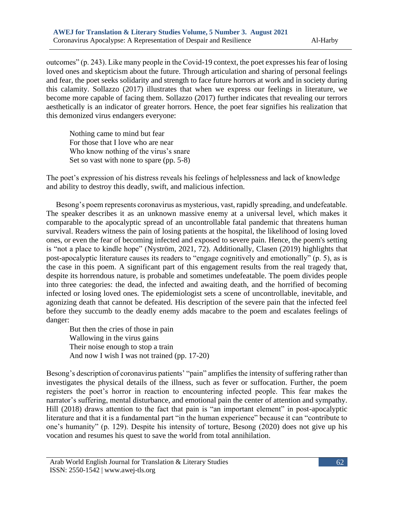outcomes" (p. 243). Like many people in the Covid-19 context, the poet expresses his fear of losing loved ones and skepticism about the future. Through articulation and sharing of personal feelings and fear, the poet seeks solidarity and strength to face future horrors at work and in society during this calamity. Sollazzo (2017) illustrates that when we express our feelings in literature, we become more capable of facing them. Sollazzo (2017) further indicates that revealing our terrors aesthetically is an indicator of greater horrors. Hence, the poet fear signifies his realization that this demonized virus endangers everyone:

Nothing came to mind but fear For those that I love who are near Who know nothing of the virus's snare Set so vast with none to spare (pp. 5-8)

The poet's expression of his distress reveals his feelings of helplessness and lack of knowledge and ability to destroy this deadly, swift, and malicious infection.

 Besong's poem represents coronavirus as mysterious, vast, rapidly spreading, and undefeatable. The speaker describes it as an unknown massive enemy at a universal level, which makes it comparable to the apocalyptic spread of an uncontrollable fatal pandemic that threatens human survival. Readers witness the pain of losing patients at the hospital, the likelihood of losing loved ones, or even the fear of becoming infected and exposed to severe pain. Hence, the poem's setting is "not a place to kindle hope" (Nyström, 2021, 72). Additionally, Clasen (2019) highlights that post-apocalyptic literature causes its readers to "engage cognitively and emotionally" (p. 5), as is the case in this poem. A significant part of this engagement results from the real tragedy that, despite its horrendous nature, is probable and sometimes undefeatable. The poem divides people into three categories: the dead, the infected and awaiting death, and the horrified of becoming infected or losing loved ones. The epidemiologist sets a scene of uncontrollable, inevitable, and agonizing death that cannot be defeated. His description of the severe pain that the infected feel before they succumb to the deadly enemy adds macabre to the poem and escalates feelings of danger:

But then the cries of those in pain Wallowing in the virus gains Their noise enough to stop a train And now I wish I was not trained (pp. 17-20)

Besong's description of coronavirus patients' "pain" amplifies the intensity of suffering rather than investigates the physical details of the illness, such as fever or suffocation. Further, the poem registers the poet's horror in reaction to encountering infected people. This fear makes the narrator's suffering, mental disturbance, and emotional pain the center of attention and sympathy. Hill (2018) draws attention to the fact that pain is "an important element" in post-apocalyptic literature and that it is a fundamental part "in the human experience" because it can "contribute to one's humanity" (p. 129). Despite his intensity of torture, Besong (2020) does not give up his vocation and resumes his quest to save the world from total annihilation.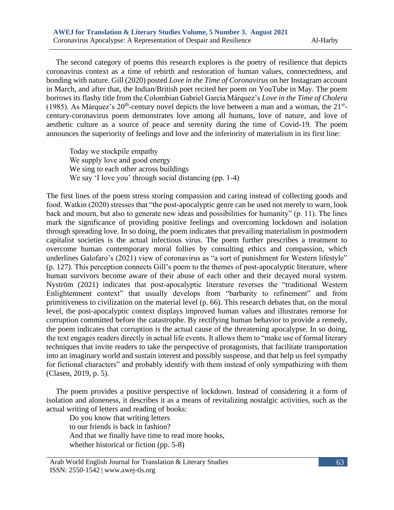The second category of poems this research explores is the poetry of resilience that depicts coronavirus context as a time of rebirth and restoration of human values, connectedness, and bonding with nature. Gill (2020) posted *Love in the Time of Coronavirus* on her Instagram account in March, and after that, the Indian/British poet recited her poem on YouTube in May. The poem borrows its flashy title from the Colombian Gabriel García Márquez's *Love in the Time of Cholera* (1985). As Márquez's  $20<sup>th</sup>$ -century novel depicts the love between a man and a woman, the  $21<sup>st</sup>$ century-coronavirus poem demonstrates love among all humans, love of nature, and love of aesthetic culture as a source of peace and serenity during the time of Covid-19. The poem announces the superiority of feelings and love and the inferiority of materialism in its first line:

Today we stockpile empathy We supply love and good energy We sing to each other across buildings We say 'I love you' through social distancing (pp. 1-4)

The first lines of the poem stress storing compassion and caring instead of collecting goods and food. Watkin (2020) stresses that "the post-apocalyptic genre can be used not merely to warn, look back and mourn, but also to generate new ideas and possibilities for humanity" (p. 11). The lines mark the significance of providing positive feelings and overcoming lockdown and isolation through spreading love. In so doing, the poem indicates that prevailing materialism in postmodern capitalist societies is the actual infectious virus. The poem further prescribes a treatment to overcome human contemporary moral follies by consulting ethics and compassion, which underlines Galofaro's (2021) view of coronavirus as "a sort of punishment for Western lifestyle" (p. 127). This perception connects Gill's poem to the themes of post-apocalyptic literature, where human survivors become aware of their abuse of each other and their decayed moral system. Nyström (2021) indicates that post-apocalyptic literature reverses the "traditional Western Enlightenment context" that usually develops from "barbarity to refinement" and from primitiveness to civilization on the material level (p. 66). This research debates that, on the moral level, the post-apocalyptic context displays improved human values and illustrates remorse for corruption committed before the catastrophe. By rectifying human behavior to provide a remedy, the poem indicates that corruption is the actual cause of the threatening apocalypse. In so doing, the text engages readers directly in actual life events. It allows them to "make use of formal literary techniques that invite readers to take the perspective of protagonists, that facilitate transportation into an imaginary world and sustain interest and possibly suspense, and that help us feel sympathy for fictional characters" and probably identify with them instead of only sympathizing with them (Clasen, 2019, p. 5).

 The poem provides a positive perspective of lockdown. Instead of considering it a form of isolation and aloneness, it describes it as a means of revitalizing nostalgic activities, such as the actual writing of letters and reading of books:

Do you know that writing letters to our friends is back in fashion? And that we finally have time to read more books, whether historical or fiction (pp. 5-8)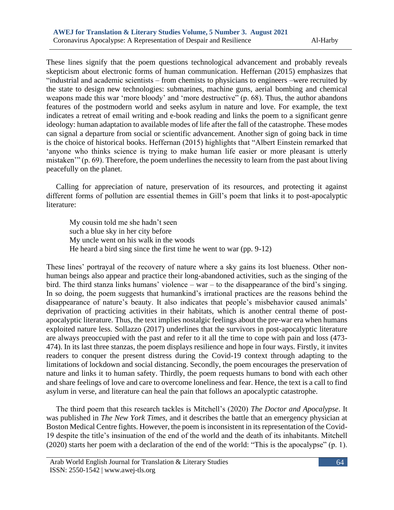These lines signify that the poem questions technological advancement and probably reveals skepticism about electronic forms of human communication. Heffernan (2015) emphasizes that "industrial and academic scientists – from chemists to physicians to engineers –were recruited by the state to design new technologies: submarines, machine guns, aerial bombing and chemical weapons made this war 'more bloody' and 'more destructive" (p. 68). Thus, the author abandons features of the postmodern world and seeks asylum in nature and love. For example, the text indicates a retreat of email writing and e-book reading and links the poem to a significant genre ideology: human adaptation to available modes of life after the fall of the catastrophe. These modes can signal a departure from social or scientific advancement. Another sign of going back in time is the choice of historical books. Heffernan (2015) highlights that "Albert Einstein remarked that 'anyone who thinks science is trying to make human life easier or more pleasant is utterly mistaken'" (p. 69). Therefore, the poem underlines the necessity to learn from the past about living peacefully on the planet.

 Calling for appreciation of nature, preservation of its resources, and protecting it against different forms of pollution are essential themes in Gill's poem that links it to post-apocalyptic literature:

My cousin told me she hadn't seen such a blue sky in her city before My uncle went on his walk in the woods He heard a bird sing since the first time he went to war (pp. 9-12)

These lines' portrayal of the recovery of nature where a sky gains its lost blueness. Other nonhuman beings also appear and practice their long-abandoned activities, such as the singing of the bird. The third stanza links humans' violence – war – to the disappearance of the bird's singing. In so doing, the poem suggests that humankind's irrational practices are the reasons behind the disappearance of nature's beauty. It also indicates that people's misbehavior caused animals' deprivation of practicing activities in their habitats, which is another central theme of postapocalyptic literature. Thus, the text implies nostalgic feelings about the pre-war era when humans exploited nature less. Sollazzo (2017) underlines that the survivors in post-apocalyptic literature are always preoccupied with the past and refer to it all the time to cope with pain and loss (473- 474). In its last three stanzas, the poem displays resilience and hope in four ways. Firstly, it invites readers to conquer the present distress during the Covid-19 context through adapting to the limitations of lockdown and social distancing. Secondly, the poem encourages the preservation of nature and links it to human safety. Thirdly, the poem requests humans to bond with each other and share feelings of love and care to overcome loneliness and fear. Hence, the text is a call to find asylum in verse, and literature can heal the pain that follows an apocalyptic catastrophe.

 The third poem that this research tackles is Mitchell's (2020) *The Doctor and Apocalypse*. It was published in *The New York Times,* and it describes the battle that an emergency physician at Boston Medical Centre fights. However, the poem is inconsistent in its representation of the Covid-19 despite the title's insinuation of the end of the world and the death of its inhabitants. Mitchell (2020) starts her poem with a declaration of the end of the world: "This is the apocalypse" (p. 1).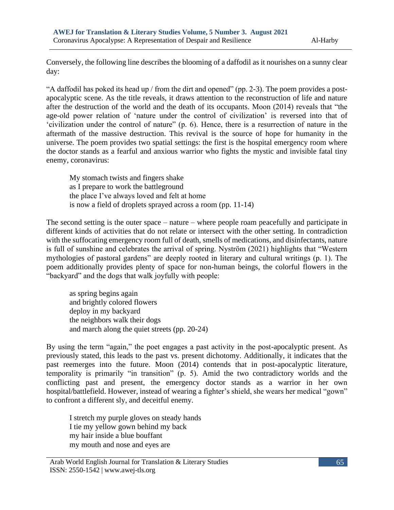Conversely, the following line describes the blooming of a daffodil as it nourishes on a sunny clear day:

"A daffodil has poked its head up / from the dirt and opened" (pp. 2-3). The poem provides a postapocalyptic scene. As the title reveals, it draws attention to the reconstruction of life and nature after the destruction of the world and the death of its occupants. Moon (2014) reveals that "the age-old power relation of 'nature under the control of civilization' is reversed into that of 'civilization under the control of nature" (p. 6). Hence, there is a resurrection of nature in the aftermath of the massive destruction. This revival is the source of hope for humanity in the universe. The poem provides two spatial settings: the first is the hospital emergency room where the doctor stands as a fearful and anxious warrior who fights the mystic and invisible fatal tiny enemy, coronavirus:

My stomach twists and fingers shake as I prepare to work the battleground the place I've always loved and felt at home is now a field of droplets sprayed across a room (pp. 11-14)

The second setting is the outer space – nature – where people roam peacefully and participate in different kinds of activities that do not relate or intersect with the other setting. In contradiction with the suffocating emergency room full of death, smells of medications, and disinfectants, nature is full of sunshine and celebrates the arrival of spring. Nyström (2021) highlights that "Western mythologies of pastoral gardens" are deeply rooted in literary and cultural writings (p. 1). The poem additionally provides plenty of space for non-human beings, the colorful flowers in the "backyard" and the dogs that walk joyfully with people:

as spring begins again and brightly colored flowers deploy in my backyard the neighbors walk their dogs and march along the quiet streets (pp. 20-24)

By using the term "again," the poet engages a past activity in the post-apocalyptic present. As previously stated, this leads to the past vs. present dichotomy. Additionally, it indicates that the past reemerges into the future. Moon (2014) contends that in post-apocalyptic literature, temporality is primarily "in transition" (p. 5). Amid the two contradictory worlds and the conflicting past and present, the emergency doctor stands as a warrior in her own hospital/battlefield. However, instead of wearing a fighter's shield, she wears her medical "gown" to confront a different sly, and deceitful enemy.

I stretch my purple gloves on steady hands I tie my yellow gown behind my back my hair inside a blue bouffant my mouth and nose and eyes are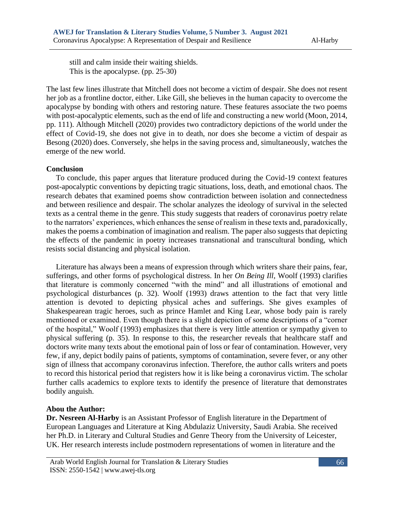still and calm inside their waiting shields. This is the apocalypse. (pp. 25-30)

The last few lines illustrate that Mitchell does not become a victim of despair. She does not resent her job as a frontline doctor, either. Like Gill, she believes in the human capacity to overcome the apocalypse by bonding with others and restoring nature. These features associate the two poems with post-apocalyptic elements, such as the end of life and constructing a new world (Moon, 2014, pp. 111). Although Mitchell (2020) provides two contradictory depictions of the world under the effect of Covid-19, she does not give in to death, nor does she become a victim of despair as Besong (2020) does. Conversely, she helps in the saving process and, simultaneously, watches the emerge of the new world.

# **Conclusion**

 To conclude, this paper argues that literature produced during the Covid-19 context features post-apocalyptic conventions by depicting tragic situations, loss, death, and emotional chaos. The research debates that examined poems show contradiction between isolation and connectedness and between resilience and despair. The scholar analyzes the ideology of survival in the selected texts as a central theme in the genre. This study suggests that readers of coronavirus poetry relate to the narrators' experiences, which enhances the sense of realism in these texts and, paradoxically, makes the poems a combination of imagination and realism. The paper also suggests that depicting the effects of the pandemic in poetry increases transnational and transcultural bonding, which resists social distancing and physical isolation.

 Literature has always been a means of expression through which writers share their pains, fear, sufferings, and other forms of psychological distress. In her *On Being Ill*, Woolf (1993) clarifies that literature is commonly concerned "with the mind" and all illustrations of emotional and psychological disturbances (p. 32). Woolf (1993) draws attention to the fact that very little attention is devoted to depicting physical aches and sufferings. She gives examples of Shakespearean tragic heroes, such as prince Hamlet and King Lear, whose body pain is rarely mentioned or examined. Even though there is a slight depiction of some descriptions of a "corner of the hospital," Woolf (1993) emphasizes that there is very little attention or sympathy given to physical suffering (p. 35). In response to this, the researcher reveals that healthcare staff and doctors write many texts about the emotional pain of loss or fear of contamination. However, very few, if any, depict bodily pains of patients, symptoms of contamination, severe fever, or any other sign of illness that accompany coronavirus infection. Therefore, the author calls writers and poets to record this historical period that registers how it is like being a coronavirus victim. The scholar further calls academics to explore texts to identify the presence of literature that demonstrates bodily anguish.

## **Abou the Author:**

**Dr. Nesreen Al-Harby** is an Assistant Professor of English literature in the Department of European Languages and Literature at King Abdulaziz University, Saudi Arabia. She received her Ph.D. in Literary and Cultural Studies and Genre Theory from the University of Leicester, UK. Her research interests include postmodern representations of women in literature and the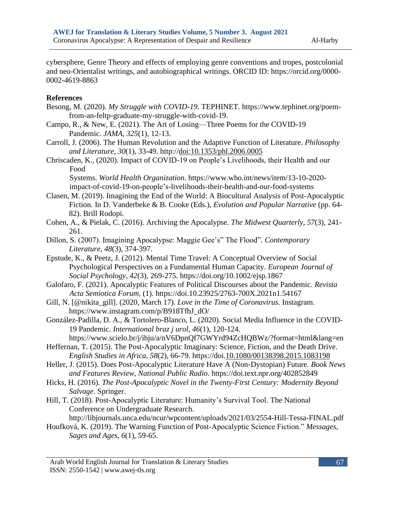cybersphere, Genre Theory and effects of employing genre conventions and tropes, postcolonial and neo-Orientalist writings, and autobiographical writings. ORCID ID: https://orcid.org/0000- 0002-4619-8863

#### **References**

- Besong, M. (2020). *My Struggle with COVID-19.* TEPHINET. [https://www.tephinet.org/poem](https://www.tephinet.org/poem-from-an-feltp-graduate-my-struggle-with-covid-19)[from-an-feltp-graduate-my-struggle-with-covid-19.](https://www.tephinet.org/poem-from-an-feltp-graduate-my-struggle-with-covid-19)
- Campo, R., & New, E. (2021). The Art of Losing—Three Poems for the COVID-19 Pandemic. *JAMA, 325*(1), 12-13.
- Carroll, J. (2006). The Human Revolution and the Adaptive Function of Literature. *Philosophy and Literature, 30*(1), 33-49. http:/[/doi:10.1353/phl.2006.0005](http://doi.org/10.1353/phl.2006.0005)
- Chriscaden, K., (2020). Impact of COVID-19 on People's Livelihoods, their Health and our Food

Systems. *World Health Organization*. [https://www.who.int/news/item/13-10-2020](https://www.who.int/news/item/13-10-2020-impact-of-covid-19-on-people) [impact-of-covid-19-on-people's-livelihoods-their-health-and-our-food-systems](https://www.who.int/news/item/13-10-2020-impact-of-covid-19-on-people)

- Clasen, M. (2019). Imagining the End of the World: A Biocultural Analysis of Post-Apocalyptic Fiction. In D. Vanderbeke & B. Cooke (Eds.), *Evolution and Popular Narrative* (pp. 64- 82). Brill Rodopi.
- Cohen, A., & Pielak, C. (2016). Archiving the Apocalypse. *The Midwest Quarterly, 57*(3), 241- 261.
- Dillon, S. (2007). Imagining Apocalypse: Maggie Gee's" The Flood". *Contemporary Literature*, *48*(3), 374-397.

Epstude, K., & Peetz, J. (2012). Mental Time Travel: A Conceptual Overview of Social Psychological Perspectives on a Fundamental Human Capacity. *European Journal of Social Psychology, 42*(3), 269-275.<https://doi.org/10.1002/ejsp.1867>

Galofaro, F. (2021). Apocalyptic Features of Political Discourses about the Pandemic. *Revista Acta Semiotica Forum*, (1).<https://doi.10.23925/2763-700X.2021n1.54167>

Gill, N. [@nikita\_gill]. (2020, March 17). *Love in the Time of Coronavirus*. Instagram. [https://www.instagram.com/p/B918TfbJ\\_dO/](https://www.instagram.com/p/B918TfbJ_dO/)

González-Padilla, D. A., & Tortolero-Blanco, L. (2020). Social Media Influence in the COVID-19 Pandemic. *International braz j urol*, *46*(1), 120-124.

- <https://www.scielo.br/j/ibju/a/nV6DpnQf7GWYrd94ZcHQBWz/?format=html&lang=en> Heffernan, T. (2015). The Post-Apocalyptic Imaginary: Science, Fiction, and the Death Drive. *English Studies in Africa, 58*(2), 66-79. https://doi[.10.1080/00138398.2015.1083198](https://doi.org/10.1080/00138398.2015.1083198)
- Heller, J. (2015). Does Post-Apocalyptic Literature Have A (Non-Dystopian) Future. *Book News and Features Review, National Public Radio*. <https://doi.text.npr.org/402852849>
- Hicks, H. (2016). *The Post-Apocalyptic Novel in the Twenty-First Century: Modernity Beyond Salvage*. Springer.
- Hill, T. (2018). Post-Apocalyptic Literature: Humanity's Survival Tool. The National Conference on Undergraduate Research.

<http://libjournals.unca.edu/ncur/wpcontent/uploads/2021/03/2554-Hill-Tessa-FINAL.pdf>

Houfková, K. (2019). The Warning Function of Post-Apocalyptic Science Fiction." *Messages, Sages and Ages, 6*(1), 59-65.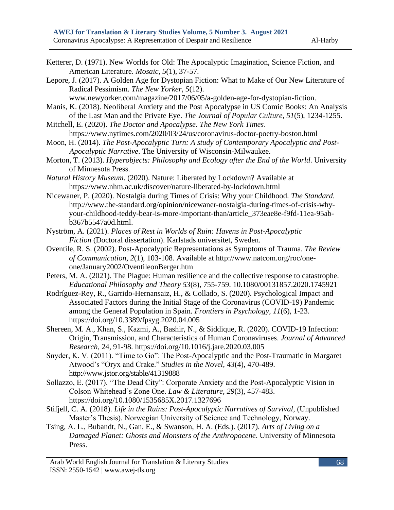- Ketterer, D. (1971). New Worlds for Old: The Apocalyptic Imagination, Science Fiction, and American Literature. *Mosaic, 5*(1), 37-57.
- Lepore, J. (2017). A Golden Age for Dystopian Fiction: What to Make of Our New Literature of Radical Pessimism. *The New Yorker*, *5*(12).

[www.newyorker.com/magazine/2017/06/05/a-golden-age-for-dystopian-fiction.](http://www.newyorker.com/magazine/2017/06/05/a-golden-age-for-dystopian-fiction)

- Manis, K. (2018). Neoliberal Anxiety and the Post Apocalypse in US Comic Books: An Analysis of the Last Man and the Private Eye. *The Journal of Popular Culture, 51*(5), 1234-1255.
- Mitchell, E. (2020). *The Doctor and Apocalypse*. *The New York Times*. <https://www.nytimes.com/2020/03/24/us/coronavirus-doctor-poetry-boston.html>
- Moon, H. (2014). *The Post-Apocalyptic Turn: A study of Contemporary Apocalyptic and Post-Apocalyptic Narrative*. The University of Wisconsin-Milwaukee.
- Morton, T. (2013). *Hyperobjects: Philosophy and Ecology after the End of the World*. University of Minnesota Press.
- *Natural History Museum*. (2020). Nature: Liberated by Lockdown? Available at <https://www.nhm.ac.uk/discover/nature-liberated-by-lockdown.html>
- Nicewaner, P. (2020). Nostalgia during Times of Crisis: Why your Childhood. *The Standard*. [http://www.the-standard.org/opinion/nicewaner-nostalgia-during-times-of-crisis-why](http://www.the-standard.org/opinion/nicewaner-nostalgia-during-times-of-crisis-why-your-childhood-teddy-bear-is-more-important-than/article_373eae8e-f9fd-11ea-95ab-b367b5547a0d.html)[your-childhood-teddy-bear-is-more-important-than/article\\_373eae8e-f9fd-11ea-95ab](http://www.the-standard.org/opinion/nicewaner-nostalgia-during-times-of-crisis-why-your-childhood-teddy-bear-is-more-important-than/article_373eae8e-f9fd-11ea-95ab-b367b5547a0d.html)[b367b5547a0d.html.](http://www.the-standard.org/opinion/nicewaner-nostalgia-during-times-of-crisis-why-your-childhood-teddy-bear-is-more-important-than/article_373eae8e-f9fd-11ea-95ab-b367b5547a0d.html)
- Nyström, A. (2021). *Places of Rest in Worlds of Ruin: Havens in Post-Apocalyptic Fiction* (Doctoral dissertation). Karlstads universitet, Sweden.
- Oventile, R. S. (2002). Post-Apocalyptic Representations as Symptoms of Trauma. *The Review of Communication, 2*(1), 103-108. Available at [http://www.natcom.org/roc/one](http://www.natcom.org/roc/one-one/January2002/OventileonBerger.htm)[one/January2002/OventileonBerger.htm](http://www.natcom.org/roc/one-one/January2002/OventileonBerger.htm)
- Peters, M. A. (2021). The Plague: Human resilience and the collective response to catastrophe. *Educational Philosophy and Theory 53*(8), 755-759. [10.1080/00131857.2020.1745921](https://philpapers.org/go.pl?id=PETTPH-4&proxyId=&u=https%3A%2F%2Fdx.doi.org%2F10.1080%2F00131857.2020.1745921)
- Rodríguez-Rey, R., Garrido-Hernansaiz, H., & Collado, S. (2020). Psychological Impact and Associated Factors during the Initial Stage of the Coronavirus (COVID-19) Pandemic among the General Population in Spain. *Frontiers in Psychology, 11*(6), 1-23. [https://doi.org/10.3389/fpsyg.2](https://doi.org/10.3389/fpsyg.)020.04.005
- Shereen, M. A., Khan, S., Kazmi, A., Bashir, N., & Siddique, R. (2020). COVID-19 Infection: Origin, Transmission, and Characteristics of Human Coronaviruses. *Journal of Advanced Research,* 24, 91-98.<https://doi.org/10.1016/j.jare.2020.03.005>
- Snyder, K. V. (2011). "Time to Go": The Post-Apocalyptic and the Post-Traumatic in Margaret Atwood's "Oryx and Crake." *Studies in the Novel, 43*(4), 470-489. <http://www.jstor.org/stable/41319888>
- Sollazzo, E. (2017). "The Dead City": Corporate Anxiety and the Post-Apocalyptic Vision in Colson Whitehead's Zone One. *Law & Literature, 29*(3), 457-483. <https://doi.org/10.1080/1535685X.2017.1327696>
- Stifjell, C. A. (2018). *Life in the Ruins: Post-Apocalyptic Narratives of Survival*, (Unpublished Master's Thesis). Norwegian University of Science and Technology, Norway.
- Tsing, A. L., Bubandt, N., Gan, E., & Swanson, H. A. (Eds.). (2017). *Arts of Living on a Damaged Planet: Ghosts and Monsters of the Anthropocene*. University of Minnesota Press.